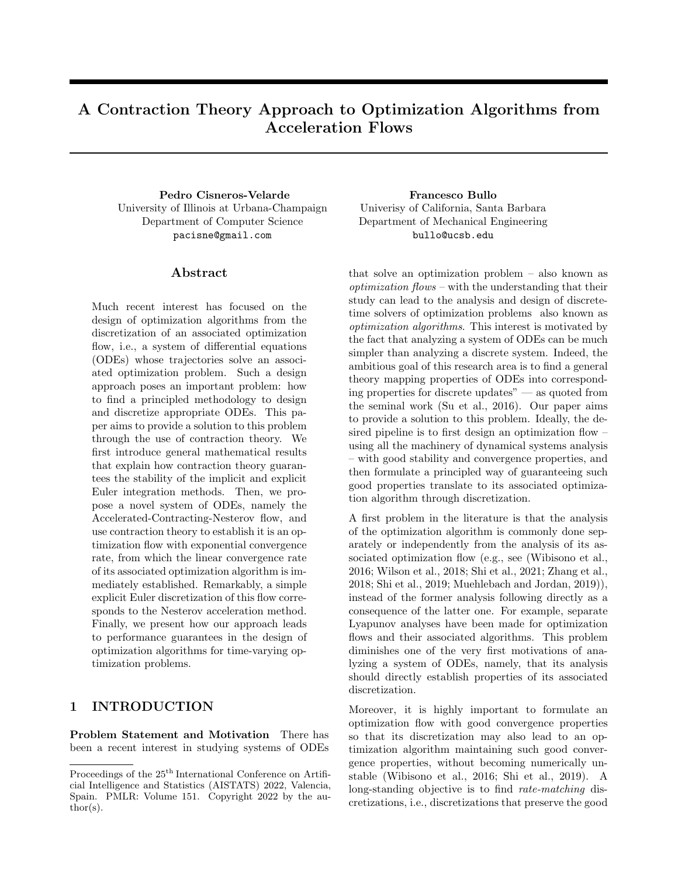# A Contraction Theory Approach to Optimization Algorithms from Acceleration Flows

Pedro Cisneros-Velarde Francesco Bullo University of Illinois at Urbana-Champaign Department of Computer Science pacisne@gmail.com

### Abstract

Much recent interest has focused on the design of optimization algorithms from the discretization of an associated optimization flow, i.e., a system of differential equations (ODEs) whose trajectories solve an associated optimization problem. Such a design approach poses an important problem: how to find a principled methodology to design and discretize appropriate ODEs. This paper aims to provide a solution to this problem through the use of contraction theory. We first introduce general mathematical results that explain how contraction theory guarantees the stability of the implicit and explicit Euler integration methods. Then, we propose a novel system of ODEs, namely the Accelerated-Contracting-Nesterov flow, and use contraction theory to establish it is an optimization flow with exponential convergence rate, from which the linear convergence rate of its associated optimization algorithm is immediately established. Remarkably, a simple explicit Euler discretization of this flow corresponds to the Nesterov acceleration method. Finally, we present how our approach leads to performance guarantees in the design of optimization algorithms for time-varying optimization problems.

## 1 INTRODUCTION

Problem Statement and Motivation There has been a recent interest in studying systems of ODEs Univerisy of California, Santa Barbara Department of Mechanical Engineering bullo@ucsb.edu

that solve an optimization problem – also known as optimization flows – with the understanding that their study can lead to the analysis and design of discretetime solvers of optimization problems also known as optimization algorithms. This interest is motivated by the fact that analyzing a system of ODEs can be much simpler than analyzing a discrete system. Indeed, the ambitious goal of this research area is to find a general theory mapping properties of ODEs into corresponding properties for discrete updates" — as quoted from the seminal work (Su et al., 2016). Our paper aims to provide a solution to this problem. Ideally, the desired pipeline is to first design an optimization flow – using all the machinery of dynamical systems analysis – with good stability and convergence properties, and then formulate a principled way of guaranteeing such good properties translate to its associated optimization algorithm through discretization.

A first problem in the literature is that the analysis of the optimization algorithm is commonly done separately or independently from the analysis of its associated optimization flow (e.g., see (Wibisono et al., 2016; Wilson et al., 2018; Shi et al., 2021; Zhang et al., 2018; Shi et al., 2019; Muehlebach and Jordan, 2019)), instead of the former analysis following directly as a consequence of the latter one. For example, separate Lyapunov analyses have been made for optimization flows and their associated algorithms. This problem diminishes one of the very first motivations of analyzing a system of ODEs, namely, that its analysis should directly establish properties of its associated discretization.

Moreover, it is highly important to formulate an optimization flow with good convergence properties so that its discretization may also lead to an optimization algorithm maintaining such good convergence properties, without becoming numerically unstable (Wibisono et al., 2016; Shi et al., 2019). A long-standing objective is to find rate-matching discretizations, i.e., discretizations that preserve the good

Proceedings of the  $25^{\text{th}}$  International Conference on Artificial Intelligence and Statistics (AISTATS) 2022, Valencia, Spain. PMLR: Volume 151. Copyright 2022 by the author(s).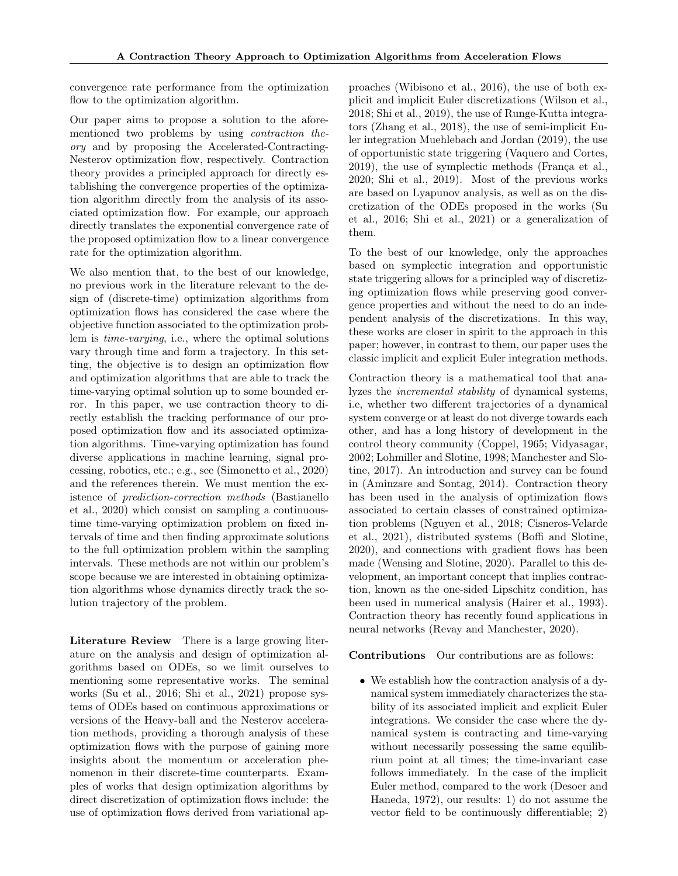convergence rate performance from the optimization flow to the optimization algorithm.

Our paper aims to propose a solution to the aforementioned two problems by using contraction theory and by proposing the Accelerated-Contracting-Nesterov optimization flow, respectively. Contraction theory provides a principled approach for directly establishing the convergence properties of the optimization algorithm directly from the analysis of its associated optimization flow. For example, our approach directly translates the exponential convergence rate of the proposed optimization flow to a linear convergence rate for the optimization algorithm.

We also mention that, to the best of our knowledge, no previous work in the literature relevant to the design of (discrete-time) optimization algorithms from optimization flows has considered the case where the objective function associated to the optimization problem is time-varying, i.e., where the optimal solutions vary through time and form a trajectory. In this setting, the objective is to design an optimization flow and optimization algorithms that are able to track the time-varying optimal solution up to some bounded error. In this paper, we use contraction theory to directly establish the tracking performance of our proposed optimization flow and its associated optimization algorithms. Time-varying optimization has found diverse applications in machine learning, signal processing, robotics, etc.; e.g., see (Simonetto et al., 2020) and the references therein. We must mention the existence of prediction-correction methods (Bastianello et al., 2020) which consist on sampling a continuoustime time-varying optimization problem on fixed intervals of time and then finding approximate solutions to the full optimization problem within the sampling intervals. These methods are not within our problem's scope because we are interested in obtaining optimization algorithms whose dynamics directly track the solution trajectory of the problem.

Literature Review There is a large growing literature on the analysis and design of optimization algorithms based on ODEs, so we limit ourselves to mentioning some representative works. The seminal works (Su et al., 2016; Shi et al., 2021) propose systems of ODEs based on continuous approximations or versions of the Heavy-ball and the Nesterov acceleration methods, providing a thorough analysis of these optimization flows with the purpose of gaining more insights about the momentum or acceleration phenomenon in their discrete-time counterparts. Examples of works that design optimization algorithms by direct discretization of optimization flows include: the use of optimization flows derived from variational approaches (Wibisono et al., 2016), the use of both explicit and implicit Euler discretizations (Wilson et al., 2018; Shi et al., 2019), the use of Runge-Kutta integrators (Zhang et al., 2018), the use of semi-implicit Euler integration Muehlebach and Jordan (2019), the use of opportunistic state triggering (Vaquero and Cortes,  $2019$ ), the use of symplectic methods (França et al., 2020; Shi et al., 2019). Most of the previous works are based on Lyapunov analysis, as well as on the discretization of the ODEs proposed in the works (Su et al., 2016; Shi et al., 2021) or a generalization of them.

To the best of our knowledge, only the approaches based on symplectic integration and opportunistic state triggering allows for a principled way of discretizing optimization flows while preserving good convergence properties and without the need to do an independent analysis of the discretizations. In this way, these works are closer in spirit to the approach in this paper; however, in contrast to them, our paper uses the classic implicit and explicit Euler integration methods.

Contraction theory is a mathematical tool that analyzes the incremental stability of dynamical systems, i.e, whether two different trajectories of a dynamical system converge or at least do not diverge towards each other, and has a long history of development in the control theory community (Coppel, 1965; Vidyasagar, 2002; Lohmiller and Slotine, 1998; Manchester and Slotine, 2017). An introduction and survey can be found in (Aminzare and Sontag, 2014). Contraction theory has been used in the analysis of optimization flows associated to certain classes of constrained optimization problems (Nguyen et al., 2018; Cisneros-Velarde et al., 2021), distributed systems (Boffi and Slotine, 2020), and connections with gradient flows has been made (Wensing and Slotine, 2020). Parallel to this development, an important concept that implies contraction, known as the one-sided Lipschitz condition, has been used in numerical analysis (Hairer et al., 1993). Contraction theory has recently found applications in neural networks (Revay and Manchester, 2020).

Contributions Our contributions are as follows:

• We establish how the contraction analysis of a dynamical system immediately characterizes the stability of its associated implicit and explicit Euler integrations. We consider the case where the dynamical system is contracting and time-varying without necessarily possessing the same equilibrium point at all times; the time-invariant case follows immediately. In the case of the implicit Euler method, compared to the work (Desoer and Haneda, 1972), our results: 1) do not assume the vector field to be continuously differentiable; 2)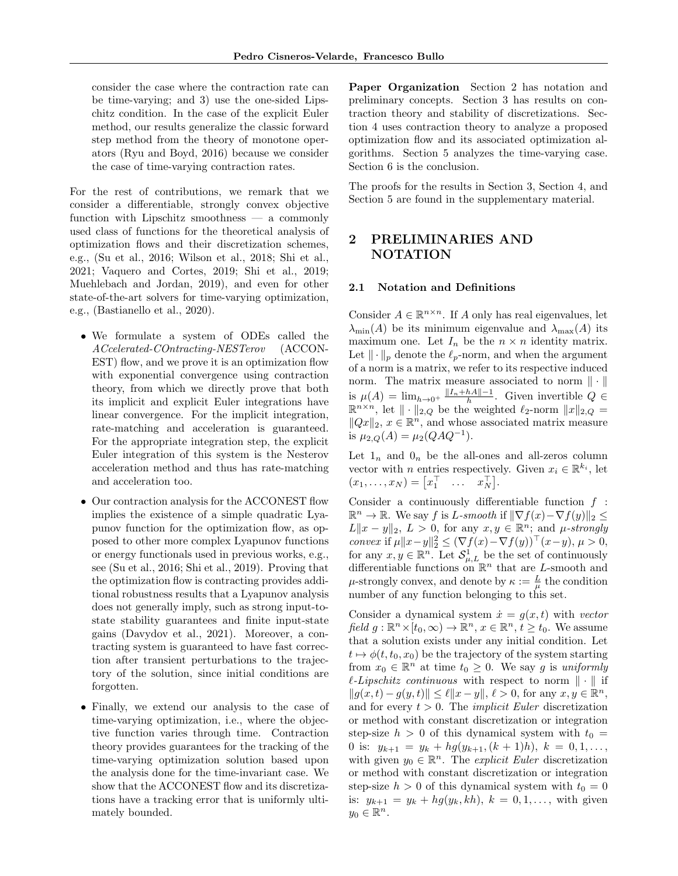consider the case where the contraction rate can be time-varying; and 3) use the one-sided Lipschitz condition. In the case of the explicit Euler method, our results generalize the classic forward step method from the theory of monotone operators (Ryu and Boyd, 2016) because we consider the case of time-varying contraction rates.

For the rest of contributions, we remark that we consider a differentiable, strongly convex objective function with Lipschitz smoothness — a commonly used class of functions for the theoretical analysis of optimization flows and their discretization schemes, e.g., (Su et al., 2016; Wilson et al., 2018; Shi et al., 2021; Vaquero and Cortes, 2019; Shi et al., 2019; Muehlebach and Jordan, 2019), and even for other state-of-the-art solvers for time-varying optimization, e.g., (Bastianello et al., 2020).

- We formulate a system of ODEs called the ACcelerated-COntracting-NESTerov (ACCON-EST) flow, and we prove it is an optimization flow with exponential convergence using contraction theory, from which we directly prove that both its implicit and explicit Euler integrations have linear convergence. For the implicit integration, rate-matching and acceleration is guaranteed. For the appropriate integration step, the explicit Euler integration of this system is the Nesterov acceleration method and thus has rate-matching and acceleration too.
- Our contraction analysis for the ACCONEST flow implies the existence of a simple quadratic Lyapunov function for the optimization flow, as opposed to other more complex Lyapunov functions or energy functionals used in previous works, e.g., see (Su et al., 2016; Shi et al., 2019). Proving that the optimization flow is contracting provides additional robustness results that a Lyapunov analysis does not generally imply, such as strong input-tostate stability guarantees and finite input-state gains (Davydov et al., 2021). Moreover, a contracting system is guaranteed to have fast correction after transient perturbations to the trajectory of the solution, since initial conditions are forgotten.
- Finally, we extend our analysis to the case of time-varying optimization, i.e., where the objective function varies through time. Contraction theory provides guarantees for the tracking of the time-varying optimization solution based upon the analysis done for the time-invariant case. We show that the ACCONEST flow and its discretizations have a tracking error that is uniformly ultimately bounded.

Paper Organization Section 2 has notation and preliminary concepts. Section 3 has results on contraction theory and stability of discretizations. Section 4 uses contraction theory to analyze a proposed optimization flow and its associated optimization algorithms. Section 5 analyzes the time-varying case. Section 6 is the conclusion.

The proofs for the results in Section 3, Section 4, and Section 5 are found in the supplementary material.

## 2 PRELIMINARIES AND NOTATION

#### 2.1 Notation and Definitions

Consider  $A \in \mathbb{R}^{n \times n}$ . If A only has real eigenvalues, let  $\lambda_{\min}(A)$  be its minimum eigenvalue and  $\lambda_{\max}(A)$  its maximum one. Let  $I_n$  be the  $n \times n$  identity matrix. Let  $\|\cdot\|_p$  denote the  $\ell_p$ -norm, and when the argument of a norm is a matrix, we refer to its respective induced norm. The matrix measure associated to norm  $\|\cdot\|$ is  $\mu(A) = \lim_{h \to 0^+} \frac{\|I_n + hA\| - 1}{h}$ . Given invertible  $Q \in$  $\mathbb{R}^{n \times n}$ , let  $\|\cdot\|_{2,Q}$  be the weighted  $\ell_2$ -norm  $\|x\|_{2,Q} =$  $||Qx||_2, x \in \mathbb{R}^n$ , and whose associated matrix measure is  $\mu_{2,Q}(A) = \mu_2(QAQ^{-1}).$ 

Let  $1_n$  and  $0_n$  be the all-ones and all-zeros column vector with *n* entries respectively. Given  $x_i \in \mathbb{R}^{k_i}$ , let  $(x_1, \ldots, x_N) = \begin{bmatrix} x_1^\top & \ldots & x_N^\top \end{bmatrix}.$ 

Consider a continuously differentiable function  $f$ :  $\mathbb{R}^n \to \mathbb{R}$ . We say f is L-smooth if  $\|\nabla f(x) - \nabla f(y)\|_2 \leq$  $L\|x-y\|_2$ ,  $L>0$ , for any  $x, y \in \mathbb{R}^n$ ; and  $\mu$ -strongly convex if  $\mu \|x - y\|_2^2 \le (\nabla f(x) - \nabla f(y))^{\top} (x - y), \mu > 0,$ for any  $x, y \in \mathbb{R}^n$ . Let  $\mathcal{S}_{\mu,L}^1$  be the set of continuously differentiable functions on  $\mathbb{R}^n$  that are L-smooth and  $\mu$ -strongly convex, and denote by  $\kappa := \frac{L}{\mu}$  the condition number of any function belonging to this set.

Consider a dynamical system  $\dot{x} = g(x, t)$  with vector field  $g: \mathbb{R}^n \times [t_0, \infty) \to \mathbb{R}^n$ ,  $x \in \mathbb{R}^n$ ,  $t \ge t_0$ . We assume that a solution exists under any initial condition. Let  $t \mapsto \phi(t, t_0, x_0)$  be the trajectory of the system starting from  $x_0 \in \mathbb{R}^n$  at time  $t_0 \geq 0$ . We say g is uniformly  $\ell$ -Lipschitz continuous with respect to norm  $\|\cdot\|$  if  $||g(x, t) - g(y, t)|| \leq \ell ||x - y||, \ell > 0$ , for any  $x, y \in \mathbb{R}^n$ , and for every  $t > 0$ . The *implicit Euler* discretization or method with constant discretization or integration step-size  $h > 0$  of this dynamical system with  $t_0 =$ 0 is:  $y_{k+1} = y_k + h g(y_{k+1}, (k+1)h), k = 0, 1, ...,$ with given  $y_0 \in \mathbb{R}^n$ . The *explicit Euler* discretization or method with constant discretization or integration step-size  $h > 0$  of this dynamical system with  $t_0 = 0$ is:  $y_{k+1} = y_k + h g(y_k, kh)$ ,  $k = 0, 1, ...,$  with given  $y_0 \in \mathbb{R}^n$ .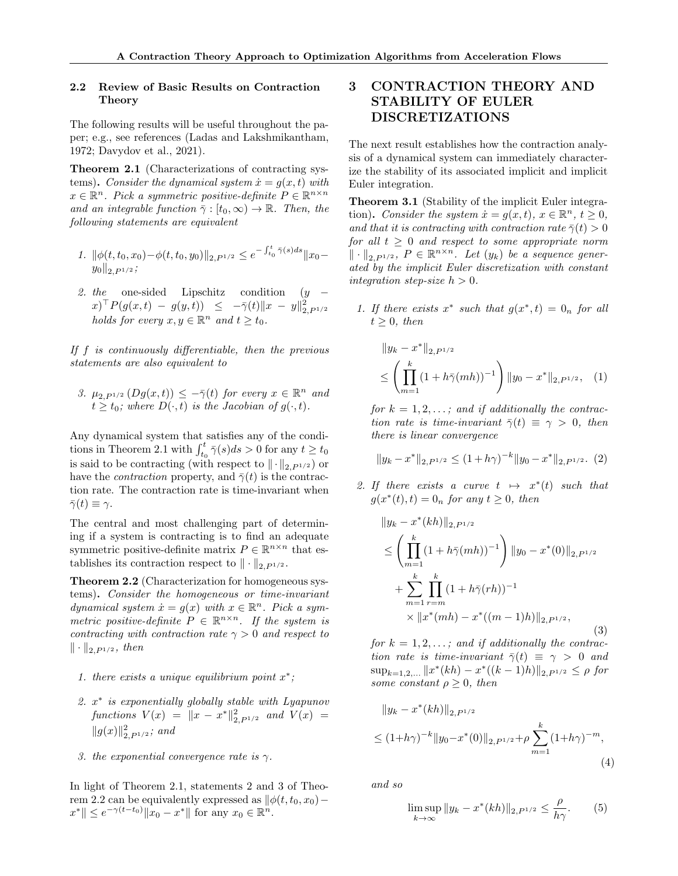#### 2.2 Review of Basic Results on Contraction Theory

The following results will be useful throughout the paper; e.g., see references (Ladas and Lakshmikantham, 1972; Davydov et al., 2021).

Theorem 2.1 (Characterizations of contracting systems). Consider the dynamical system  $\dot{x} = g(x, t)$  with  $x \in \mathbb{R}^n$ . Pick a symmetric positive-definite  $P \in \mathbb{R}^{n \times n}$ and an integrable function  $\bar{\gamma} : [t_0, \infty) \to \mathbb{R}$ . Then, the following statements are equivalent

- 1.  $\|\phi(t, t_0, x_0) \phi(t, t_0, y_0)\|_{2, P^{1/2}} \leq e^{-\int_{t_0}^{t} \bar{\gamma}(s) ds} \|x_0 ||y_0||_{2, P^{1/2}}$ ;
- 2. the one-sided Lipschitz condition  $(y (x)$ <sup>T</sup> $P(g(x,t) - g(y,t)) \leq -\overline{\gamma}(t) \|x - y\|_{2, P^{1/2}}^2$ holds for every  $x, y \in \mathbb{R}^n$  and  $t \ge t_0$ .

If f is continuously differentiable, then the previous statements are also equivalent to

3.  $\mu_{2,P^{1/2}}(Dg(x,t)) \leq -\bar{\gamma}(t)$  for every  $x \in \mathbb{R}^n$  and  $t \geq t_0$ ; where  $D(\cdot, t)$  is the Jacobian of  $g(\cdot, t)$ .

Any dynamical system that satisfies any of the conditions in Theorem 2.1 with  $\int_{t_0}^t \bar{\gamma}(s)ds > 0$  for any  $t \ge t_0$ is said to be contracting (with respect to  $\|\cdot\|_{2,PI/2}$ ) or have the *contraction* property, and  $\bar{\gamma}(t)$  is the contraction rate. The contraction rate is time-invariant when  $\bar{\gamma}(t) \equiv \gamma$ .

The central and most challenging part of determining if a system is contracting is to find an adequate symmetric positive-definite matrix  $P \in \mathbb{R}^{n \times n}$  that establishes its contraction respect to  $\|\cdot\|_{2,P^{1/2}}$ .

Theorem 2.2 (Characterization for homogeneous systems). Consider the homogeneous or time-invariant dynamical system  $\dot{x} = g(x)$  with  $x \in \mathbb{R}^n$ . Pick a symmetric positive-definite  $P \in \mathbb{R}^{n \times n}$ . If the system is contracting with contraction rate  $\gamma > 0$  and respect to  $\|\cdot\|_{2, P^{1/2}}, \, then$ 

- 1. there exists a unique equilibrium point  $x^*$ ;
- 2.  $x^*$  is exponentially globally stable with Lyapunov  $\text{functions } V(x) = ||x - x^*||_{2, P^{1/2}}^2 \text{ and } V(x) =$  $||g(x)||_{2, P^{1/2}}^2$ ; and
- 3. the exponential convergence rate is  $\gamma$ .

In light of Theorem 2.1, statements 2 and 3 of Theorem 2.2 can be equivalently expressed as  $\phi(t, t_0, x_0)$ −  $x^* \| \leq e^{-\gamma(t-t_0)} \|x_0 - x^*\|$  for any  $x_0 \in \mathbb{R}^n$ .

# 3 CONTRACTION THEORY AND STABILITY OF EULER DISCRETIZATIONS

The next result establishes how the contraction analysis of a dynamical system can immediately characterize the stability of its associated implicit and implicit Euler integration.

Theorem 3.1 (Stability of the implicit Euler integration). Consider the system  $\dot{x} = g(x, t), x \in \mathbb{R}^n, t \ge 0$ , and that it is contracting with contraction rate  $\bar{\gamma}(t) > 0$ for all  $t \geq 0$  and respect to some appropriate norm  $\|\cdot\|_{2, P^{1/2}}, P \in \mathbb{R}^{n \times n}$ . Let  $(y_k)$  be a sequence generated by the implicit Euler discretization with constant integration step-size  $h > 0$ .

1. If there exists  $x^*$  such that  $g(x^*, t) = 0_n$  for all  $t > 0$ , then

$$
||y_k - x^*||_{2, P^{1/2}}\n\leq \left(\prod_{m=1}^k (1 + h\bar{\gamma}(mh))^{-1}\right) ||y_0 - x^*||_{2, P^{1/2}}, \quad (1)
$$

for  $k = 1, 2, \ldots$ ; and if additionally the contraction rate is time-invariant  $\bar{\gamma}(t) \equiv \gamma > 0$ , then there is linear convergence

$$
||y_k - x^*||_{2, P^{1/2}} \le (1 + h\gamma)^{-k} ||y_0 - x^*||_{2, P^{1/2}}.
$$
 (2)

2. If there exists a curve  $t \mapsto x^*(t)$  such that  $g(x^*(t), t) = 0_n$  for any  $t \ge 0$ , then

$$
||y_k - x^*(kh)||_{2, P^{1/2}}
$$
  
\n
$$
\leq \left(\prod_{m=1}^k (1 + h\bar{\gamma}(mh))^{-1}\right) ||y_0 - x^*(0)||_{2, P^{1/2}}
$$
  
\n
$$
+ \sum_{m=1}^k \prod_{r=m}^k (1 + h\bar{\gamma}(rh))^{-1}
$$
  
\n
$$
\times ||x^*(mh) - x^*((m-1)h)||_{2, P^{1/2}},
$$
\n(3)

for  $k = 1, 2, \ldots$ ; and if additionally the contraction rate is time-invariant  $\bar{\gamma}(t) \equiv \gamma > 0$  and  $\sup_{k=1,2,...} \|x^*(kh) - x^*((k-1)h)\|_{2,P^{1/2}} \leq \rho$  for some constant  $\rho \geq 0$ , then

$$
||y_k - x^*(kh)||_{2, P^{1/2}}
$$
  
\n
$$
\leq (1+h\gamma)^{-k} ||y_0 - x^*(0)||_{2, P^{1/2}} + \rho \sum_{m=1}^k (1+h\gamma)^{-m},
$$
\n(4)

and so

$$
\limsup_{k \to \infty} \|y_k - x^*(kh)\|_{2, P^{1/2}} \le \frac{\rho}{h\gamma}.\tag{5}
$$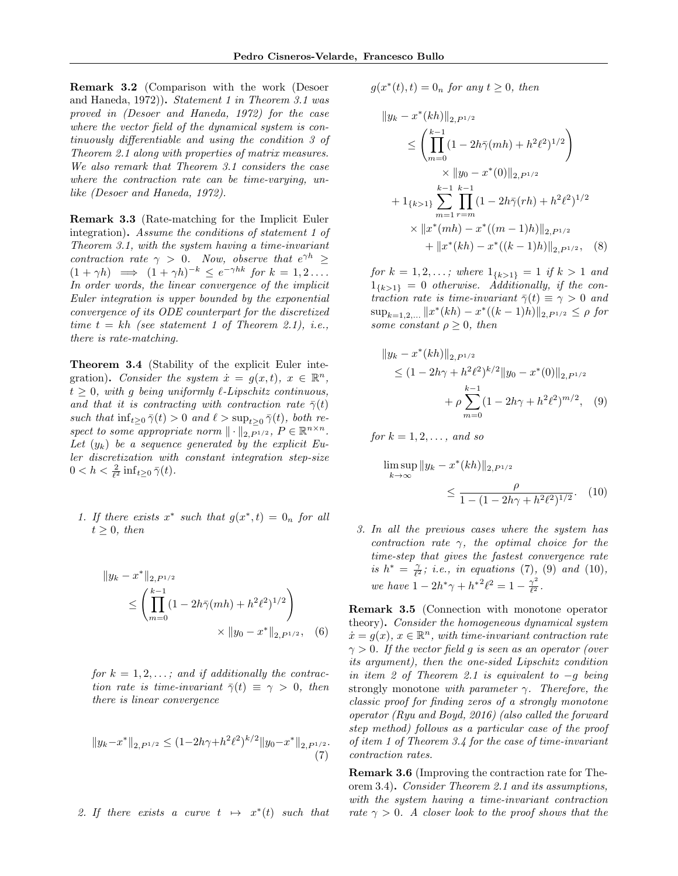Remark 3.2 (Comparison with the work (Desoer and Haneda, 1972)). Statement 1 in Theorem 3.1 was proved in (Desoer and Haneda, 1972) for the case where the vector field of the dynamical system is continuously differentiable and using the condition 3 of Theorem 2.1 along with properties of matrix measures. We also remark that Theorem 3.1 considers the case where the contraction rate can be time-varying, unlike (Desoer and Haneda, 1972).

Remark 3.3 (Rate-matching for the Implicit Euler integration). Assume the conditions of statement 1 of Theorem 3.1, with the system having a time-invariant contraction rate  $\gamma > 0$ . Now, observe that  $e^{\gamma h} \geq$  $(1 + \gamma h) \implies (1 + \gamma h)^{-k} \leq e^{-\gamma hk}$  for  $k = 1, 2, \dots$ In order words, the linear convergence of the implicit Euler integration is upper bounded by the exponential convergence of its ODE counterpart for the discretized time  $t = kh$  (see statement 1 of Theorem 2.1), i.e., there is rate-matching.

Theorem 3.4 (Stability of the explicit Euler integration). Consider the system  $\dot{x} = g(x,t), x \in \mathbb{R}^n$ ,  $t > 0$ , with q being uniformly  $\ell$ -Lipschitz continuous, and that it is contracting with contraction rate  $\bar{\gamma}(t)$ such that  $\inf_{t\geq 0} \overline{\gamma}(t) > 0$  and  $\ell > \sup_{t>0} \overline{\gamma}(t)$ , both respect to some appropriate norm  $\|\cdot\|_{2, P^{1/2}}$ ,  $P \in \mathbb{R}^{n \times n}$ . Let  $(y_k)$  be a sequence generated by the explicit Euler discretization with constant integration step-size  $0 < h < \frac{2}{\ell^2} \inf_{t \geq 0} \bar{\gamma}(t).$ 

1. If there exists  $x^*$  such that  $g(x^*, t) = 0_n$  for all  $t \geq 0$ , then

$$
||y_k - x^*||_{2, P^{1/2}}\n\leq \left(\prod_{m=0}^{k-1} (1 - 2h\bar{\gamma}(mh) + h^2\ell^2)^{1/2}\right)\n\times ||y_0 - x^*||_{2, P^{1/2}}, \quad (6)
$$

for  $k = 1, 2, \ldots$ ; and if additionally the contraction rate is time-invariant  $\bar{\gamma}(t) \equiv \gamma > 0$ , then there is linear convergence

$$
||y_k - x^*||_{2, P^{1/2}} \le (1 - 2h\gamma + h^2\ell^2)^{k/2} ||y_0 - x^*||_{2, P^{1/2}}.
$$
\n(7)

2. If there exists a curve 
$$
t \mapsto x^*(t)
$$
 such that

 $g(x^*(t), t) = 0_n$  for any  $t \ge 0$ , then

$$
||y_k - x^*(kh)||_{2, P^{1/2}}
$$
  
\n
$$
\leq \left(\prod_{m=0}^{k-1} (1 - 2h\bar{\gamma}(mh) + h^2\ell^2)^{1/2}\right)
$$
  
\n
$$
\times ||y_0 - x^*(0)||_{2, P^{1/2}}
$$
  
\n
$$
+ 1_{\{k>1\}} \sum_{m=1}^{k-1} \prod_{r=m}^{k-1} (1 - 2h\bar{\gamma}(rh) + h^2\ell^2)^{1/2}
$$
  
\n
$$
\times ||x^*(mh) - x^*((m-1)h)||_{2, P^{1/2}}
$$
  
\n
$$
+ ||x^*(kh) - x^*((k-1)h)||_{2, P^{1/2}}, \quad (8)
$$

for  $k = 1, 2, \ldots$ ; where  $1_{\{k>1\}} = 1$  if  $k > 1$  and  $1_{\{k>1\}} = 0$  otherwise. Additionally, if the contraction rate is time-invariant  $\bar{\gamma}(t) \equiv \gamma > 0$  and  $\sup_{k=1,2,...} \|x^*(kh) - x^*((k-1)h)\|_{2,P^{1/2}} \leq \rho$  for some constant  $\rho \geq 0$ , then

$$
||y_k - x^*(kh)||_{2, P^{1/2}}\n\leq (1 - 2h\gamma + h^2\ell^2)^{k/2} ||y_0 - x^*(0)||_{2, P^{1/2}}\n+ \rho \sum_{m=0}^{k-1} (1 - 2h\gamma + h^2\ell^2)^{m/2}, \quad (9)
$$

for  $k = 1, 2, \ldots$ , and so

$$
\limsup_{k \to \infty} \|y_k - x^*(kh)\|_{2, P^{1/2}} \le \frac{\rho}{1 - (1 - 2h\gamma + h^2 \ell^2)^{1/2}}.
$$
 (10)

3. In all the previous cases where the system has contraction rate  $\gamma$ , the optimal choice for the time-step that gives the fastest convergence rate is  $h^* = \frac{\gamma}{\ell^2}$ ; i.e., in equations (7), (9) and (10), we have  $1 - 2h^*\gamma + h^{*2}\ell^2 = 1 - \frac{\gamma^2}{\ell^2}$  $\frac{\gamma^-}{\ell^2}$  .

Remark 3.5 (Connection with monotone operator theory). Consider the homogeneous dynamical system  $\dot{x} = g(x), x \in \mathbb{R}^n$ , with time-invariant contraction rate  $\gamma > 0$ . If the vector field g is seen as an operator (over its argument), then the one-sided Lipschitz condition in item 2 of Theorem 2.1 is equivalent to −g being strongly monotone with parameter  $\gamma$ . Therefore, the classic proof for finding zeros of a strongly monotone operator (Ryu and Boyd, 2016) (also called the forward step method) follows as a particular case of the proof of item 1 of Theorem 3.4 for the case of time-invariant contraction rates.

Remark 3.6 (Improving the contraction rate for Theorem 3.4). Consider Theorem 2.1 and its assumptions, with the system having a time-invariant contraction rate  $\gamma > 0$ . A closer look to the proof shows that the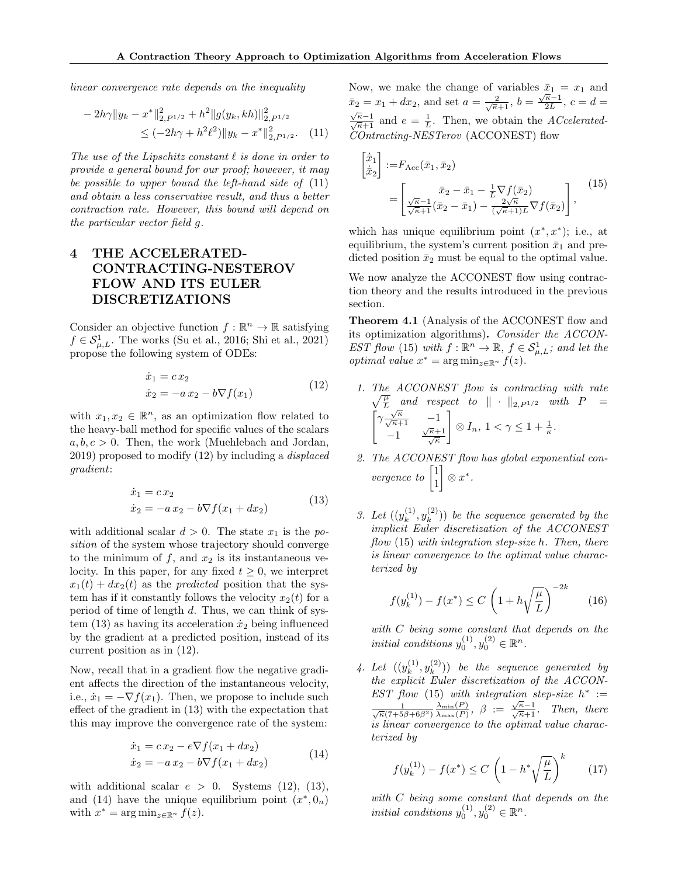linear convergence rate depends on the inequality

$$
-2h\gamma\|y_k - x^*\|_{2, P^{1/2}}^2 + h^2\|g(y_k, kh)\|_{2, P^{1/2}}^2
$$
  
 
$$
\leq (-2h\gamma + h^2\ell^2)\|y_k - x^*\|_{2, P^{1/2}}^2. \tag{11}
$$

The use of the Lipschitz constant  $\ell$  is done in order to provide a general bound for our proof; however, it may be possible to upper bound the left-hand side of (11) and obtain a less conservative result, and thus a better contraction rate. However, this bound will depend on the particular vector field g.

# 4 THE ACCELERATED-CONTRACTING-NESTEROV FLOW AND ITS EULER DISCRETIZATIONS

Consider an objective function  $f : \mathbb{R}^n \to \mathbb{R}$  satisfying  $f \in \mathcal{S}_{\mu,L}^1$ . The works (Su et al., 2016; Shi et al., 2021) propose the following system of ODEs:

$$
\begin{aligned} \dot{x}_1 &= c \, x_2 \\ \dot{x}_2 &= -a \, x_2 - b \nabla f(x_1) \end{aligned} \tag{12}
$$

with  $x_1, x_2 \in \mathbb{R}^n$ , as an optimization flow related to the heavy-ball method for specific values of the scalars  $a, b, c > 0$ . Then, the work (Muehlebach and Jordan, 2019) proposed to modify (12) by including a displaced gradient:

$$
\begin{aligned}\n\dot{x}_1 &= c \, x_2 \\
\dot{x}_2 &= -a \, x_2 - b \nabla f(x_1 + dx_2)\n\end{aligned} \tag{13}
$$

with additional scalar  $d > 0$ . The state  $x_1$  is the position of the system whose trajectory should converge to the minimum of  $f$ , and  $x_2$  is its instantaneous velocity. In this paper, for any fixed  $t \geq 0$ , we interpret  $x_1(t) + dx_2(t)$  as the *predicted* position that the system has if it constantly follows the velocity  $x_2(t)$  for a period of time of length d. Thus, we can think of system  $(13)$  as having its acceleration  $\dot{x}_2$  being influenced by the gradient at a predicted position, instead of its current position as in (12).

Now, recall that in a gradient flow the negative gradient affects the direction of the instantaneous velocity, i.e.,  $\dot{x}_1 = -\nabla f(x_1)$ . Then, we propose to include such effect of the gradient in (13) with the expectation that this may improve the convergence rate of the system:

$$
\begin{aligned}\n\dot{x}_1 &= c \, x_2 - e \nabla f(x_1 + dx_2) \\
\dot{x}_2 &= -a \, x_2 - b \nabla f(x_1 + dx_2)\n\end{aligned} \tag{14}
$$

with additional scalar  $e > 0$ . Systems (12), (13), and (14) have the unique equilibrium point  $(x^*, 0_n)$ with  $x^* = \arg \min_{z \in \mathbb{R}^n} f(z)$ .

Now, we make the change of variables  $\bar{x}_1 = x_1$  and  $\bar{x}_2 = x_1 + dx_2$ , and set  $a = \frac{2}{\sqrt{\kappa+1}}$ ,  $b = \frac{\sqrt{\kappa-1}}{2L}$  $\bar{x}_2 = x_1 + dx_2$ , and set  $a = \frac{2}{\sqrt{\kappa}+1}$ ,  $b = \frac{\sqrt{\kappa}-1}{2L}$ ,  $c = d =$  $\frac{\sqrt{\kappa}-1}{\sqrt{\kappa}+1}$  and  $e=\frac{1}{L}$ . Then, we obtain the *ACcelerated*-COntracting-NESTerov (ACCONEST) flow

$$
\begin{aligned}\n\left[\dot{\bar{x}}_1\right] &:= F_{\text{Acc}}(\bar{x}_1, \bar{x}_2) \\
&= \begin{bmatrix}\n\bar{x}_2 - \bar{x}_1 - \frac{1}{L} \nabla f(\bar{x}_2) \\
\frac{\sqrt{\kappa} - 1}{\sqrt{\kappa} + 1} (\bar{x}_2 - \bar{x}_1) - \frac{2\sqrt{\kappa}}{(\sqrt{\kappa} + 1)L} \nabla f(\bar{x}_2)\n\end{bmatrix},\n\end{aligned} (15)
$$

which has unique equilibrium point  $(x^*, x^*)$ ; i.e., at equilibrium, the system's current position  $\bar{x}_1$  and predicted position  $\bar{x}_2$  must be equal to the optimal value.

We now analyze the ACCONEST flow using contraction theory and the results introduced in the previous section.

Theorem 4.1 (Analysis of the ACCONEST flow and its optimization algorithms). Consider the ACCON-EST flow (15) with  $f : \mathbb{R}^n \to \mathbb{R}$ ,  $f \in \mathcal{S}_{\mu,L}^1$ ; and let the optimal value  $x^* = \arg \min_{z \in \mathbb{R}^n} f(z)$ .

- 1. The ACCONEST flow is contracting with rate  $\sqrt{\frac{\mu}{L}}$  and respect to  $\|\cdot\|_{2,P^{1/2}}$  with  $P =$  $\int \gamma \frac{\sqrt{\kappa}}{\sqrt{\kappa}+1}$  -1  $\frac{-1}{\sqrt{\kappa}}$   $\frac{\sqrt{\kappa}+1}{\sqrt{\kappa}}$ 1  $\otimes I_n, 1 < \gamma \leq 1 + \frac{1}{\kappa}.$
- 2. The ACCONEST flow has global exponential convergence to  $\begin{bmatrix} 1 \\ 1 \end{bmatrix}$ 1  $\Big] \otimes x^*.$
- 3. Let  $((y_k^{(1)})$  $\boldsymbol{y}_k^{(1)}, \boldsymbol{y}_k^{(2)}$  $\binom{1}{k}$ ) be the sequence generated by the implicit Euler discretization of the ACCONEST flow (15) with integration step-size h. Then, there is linear convergence to the optimal value characterized by

$$
f(y_k^{(1)}) - f(x^*) \le C \left( 1 + h\sqrt{\frac{\mu}{L}} \right)^{-2k} \tag{16}
$$

with C being some constant that depends on the initial conditions  $y_0^{(1)}, y_0^{(2)} \in \mathbb{R}^n$ .

4. Let  $((y_k^{(1)})$  $y_k^{(1)}, y_k^{(2)}$  $\binom{2}{k}$ ) be the sequence generated by the explicit Euler discretization of the ACCON-EST flow (15) with integration step-size  $h^* :=$  $\frac{1}{\sqrt{\kappa}(7+5\beta+6\beta^2)}$  $\lambda_{\min}(P)$  $\frac{\lambda_{\min}(P)}{\lambda_{\max}(P)}, \ \beta := \frac{\sqrt{\kappa}-1}{\sqrt{\kappa}+1}.$  Then, there is linear convergence to the optimal value characterized by

$$
f(y_k^{(1)}) - f(x^*) \le C \left( 1 - h^* \sqrt{\frac{\mu}{L}} \right)^k \tag{17}
$$

with C being some constant that depends on the initial conditions  $y_0^{(1)}, y_0^{(2)} \in \mathbb{R}^n$ .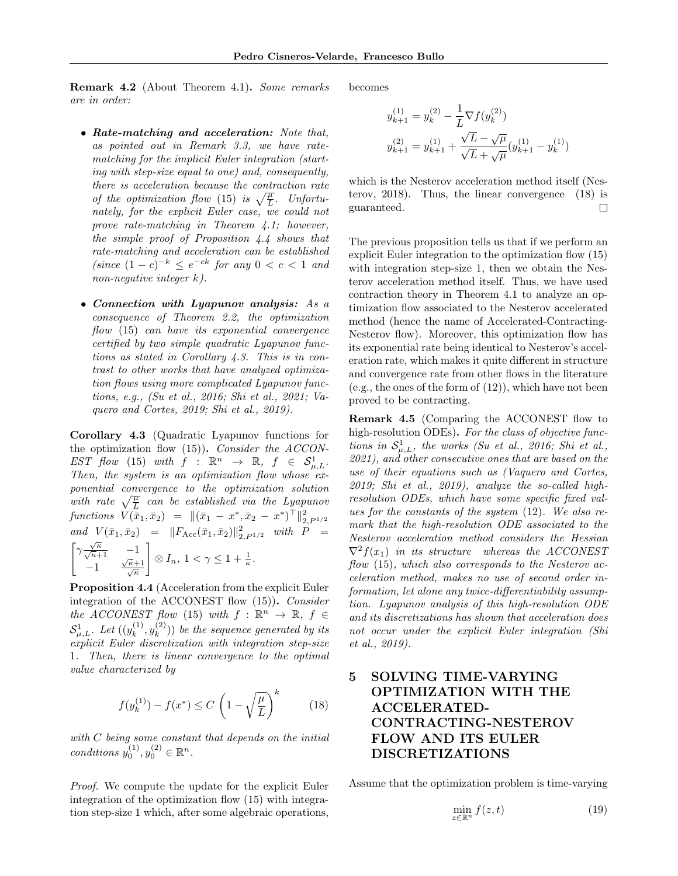Remark 4.2 (About Theorem 4.1). Some remarks are in order:

- Rate-matching and acceleration: Note that, as pointed out in Remark 3.3, we have ratematching for the implicit Euler integration (starting with step-size equal to one) and, consequently, there is acceleration because the contraction rate of the optimization flow (15) is  $\sqrt{\frac{\mu}{L}}$ . Unfortunately, for the explicit Euler case, we could not prove rate-matching in Theorem 4.1; however, the simple proof of Proposition 4.4 shows that rate-matching and acceleration can be established  $(since (1-c)^{-k} \leq e^{-ck} for any 0 < c < 1 and$ non-negative integer k).
- Connection with Lyapunov analysis: As a consequence of Theorem 2.2, the optimization flow (15) can have its exponential convergence certified by two simple quadratic Lyapunov functions as stated in Corollary 4.3. This is in contrast to other works that have analyzed optimization flows using more complicated Lyapunov functions, e.g., (Su et al., 2016; Shi et al., 2021; Vaquero and Cortes, 2019; Shi et al., 2019).

Corollary 4.3 (Quadratic Lyapunov functions for the optimization flow  $(15)$ ). Consider the ACCON- $EST \; flow \; (15) \; with \; f \; : \; \mathbb{R}^n \; \rightarrow \; \mathbb{R}, \; f \; \in \; \mathcal{S}_{\mu,L}^1.$ Then, the system is an optimization flow whose exponential convergence to the optimization solution with rate  $\sqrt{\frac{\mu}{L}}$  can be established via the Lyapunov  $\text{functions} \ \ V(\bar{x}_1, \bar{x}_2) = \|(\bar{x}_1 - x^*, \bar{x}_2 - x^*)^\top\|_{2, P^{1/2}}^2$ and  $V(\bar{x}_1, \bar{x}_2) = ||F_{\text{Acc}}(\bar{x}_1, \bar{x}_2)||_{2, P^{1/2}}^2$  with  $P =$  $\int \gamma \frac{\sqrt{\kappa}}{\sqrt{\kappa}+1}$  -1  $\frac{-1}{\sqrt{\kappa}}$   $\frac{\sqrt{\kappa}+1}{\sqrt{\kappa}}$ 1  $\otimes I_n, 1 < \gamma \leq 1 + \frac{1}{\kappa}.$ 

Proposition 4.4 (Acceleration from the explicit Euler integration of the ACCONEST flow (15)). Consider the ACCONEST flow (15) with  $f : \mathbb{R}^n \to \mathbb{R}, f \in$  $\mathcal{S}_{\mu,L}^{1}$ . Let  $((y_k^{(1)}))$  $\binom{(1)}{k}, y_k^{(2)}$  $\binom{2}{k}$ ) be the sequence generated by its explicit Euler discretization with integration step-size 1. Then, there is linear convergence to the optimal value characterized by

$$
f(y_k^{(1)}) - f(x^*) \le C \left(1 - \sqrt{\frac{\mu}{L}}\right)^k \tag{18}
$$

with  $C$  being some constant that depends on the initial conditions  $y_0^{(1)}, y_0^{(2)} \in \mathbb{R}^n$ .

Proof. We compute the update for the explicit Euler integration of the optimization flow (15) with integration step-size 1 which, after some algebraic operations,

becomes

$$
y_{k+1}^{(1)} = y_k^{(2)} - \frac{1}{L} \nabla f(y_k^{(2)})
$$
  

$$
y_{k+1}^{(2)} = y_{k+1}^{(1)} + \frac{\sqrt{L} - \sqrt{\mu}}{\sqrt{L} + \sqrt{\mu}} (y_{k+1}^{(1)} - y_k^{(1)})
$$

which is the Nesterov acceleration method itself (Nesterov, 2018). Thus, the linear convergence (18) is  $\Box$ guaranteed.

The previous proposition tells us that if we perform an explicit Euler integration to the optimization flow (15) with integration step-size 1, then we obtain the Nesterov acceleration method itself. Thus, we have used contraction theory in Theorem 4.1 to analyze an optimization flow associated to the Nesterov accelerated method (hence the name of Accelerated-Contracting-Nesterov flow). Moreover, this optimization flow has its exponential rate being identical to Nesterov's acceleration rate, which makes it quite different in structure and convergence rate from other flows in the literature (e.g., the ones of the form of (12)), which have not been proved to be contracting.

Remark 4.5 (Comparing the ACCONEST flow to high-resolution ODEs). For the class of objective functions in  $S^1_{\mu,L}$ , the works (Su et al., 2016; Shi et al., 2021), and other consecutive ones that are based on the use of their equations such as (Vaquero and Cortes, 2019; Shi et al., 2019), analyze the so-called highresolution ODEs, which have some specific fixed values for the constants of the system (12). We also remark that the high-resolution ODE associated to the Nesterov acceleration method considers the Hessian  $\nabla^2 f(x_1)$  in its structure whereas the ACCONEST flow (15), which also corresponds to the Nesterov acceleration method, makes no use of second order information, let alone any twice-differentiability assumption. Lyapunov analysis of this high-resolution ODE and its discretizations has shown that acceleration does not occur under the explicit Euler integration (Shi et al., 2019).

# 5 SOLVING TIME-VARYING OPTIMIZATION WITH THE ACCELERATED-CONTRACTING-NESTEROV FLOW AND ITS EULER DISCRETIZATIONS

Assume that the optimization problem is time-varying

$$
\min_{z \in \mathbb{R}^n} f(z, t) \tag{19}
$$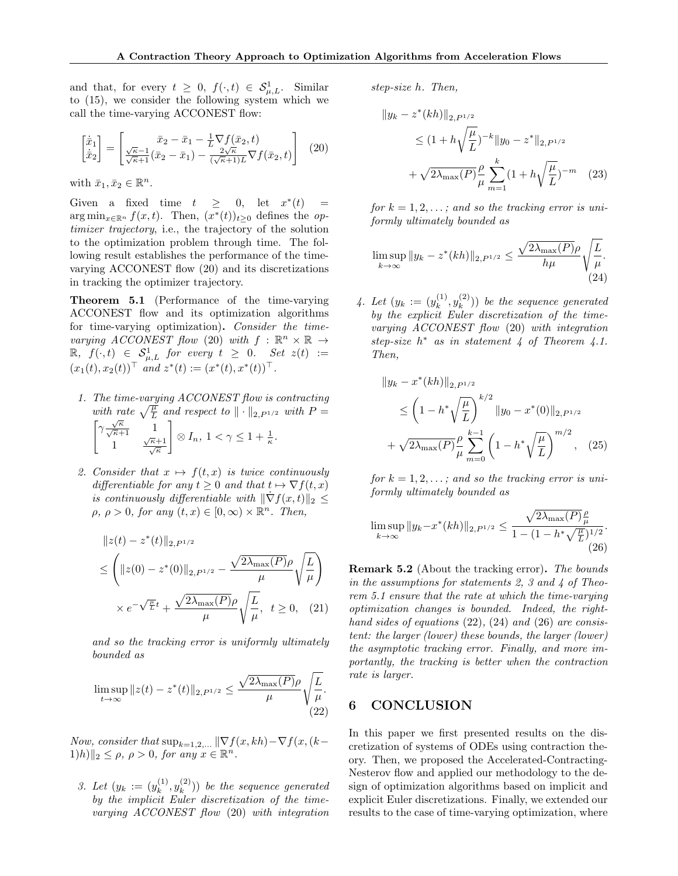and that, for every  $t \geq 0$ ,  $f(\cdot, t) \in S^1_{\mu, L}$ . Similar to (15), we consider the following system which we call the time-varying ACCONEST flow:

$$
\begin{bmatrix} \dot{\bar{x}}_1\\ \dot{\bar{x}}_2 \end{bmatrix} = \begin{bmatrix} \bar{x}_2 - \bar{x}_1 - \frac{1}{L} \nabla f(\bar{x}_2, t) \\ \frac{\sqrt{\kappa} - 1}{\sqrt{\kappa} + 1} (\bar{x}_2 - \bar{x}_1) - \frac{2\sqrt{\kappa}}{(\sqrt{\kappa} + 1)L} \nabla f(\bar{x}_2, t) \end{bmatrix} \tag{20}
$$

with  $\bar{x}_1, \bar{x}_2 \in \mathbb{R}^n$ .

Given a fixed time  $t \geq 0$ , let  $x^*(t) =$ arg min<sub>x∈ℝ</sub>n  $f(x,t)$ . Then,  $(x^*(t))_{t\geq 0}$  defines the optimizer trajectory, i.e., the trajectory of the solution to the optimization problem through time. The following result establishes the performance of the timevarying ACCONEST flow (20) and its discretizations in tracking the optimizer trajectory.

Theorem 5.1 (Performance of the time-varying ACCONEST flow and its optimization algorithms for time-varying optimization). Consider the timevarying ACCONEST flow (20) with  $f : \mathbb{R}^n \times \mathbb{R} \rightarrow$  $\mathbb{R}, f(\cdot,t) \in \mathcal{S}_{\mu,L}^1$  for every  $t \geq 0$ . Set  $z(t) :=$  $(x_1(t), x_2(t))$ <sup>T</sup> and  $z^*(t) := (x^*(t), x^*(t))$ <sup>T</sup>.

- 1. The time-varying ACCONEST flow is contracting with rate  $\sqrt{\frac{\mu}{L}}$  and respect to  $\|\cdot\|_{2, P^{1/2}}$  with  $P =$  $\sqrt{\frac{\sqrt{\kappa}}{\sqrt{\kappa}+1}}$  1 <sup> $\frac{\sqrt{\kappa}+1}{\sqrt{\kappa}}$ </sup> 1  $\otimes I_n, 1 < \gamma \leq 1 + \frac{1}{\kappa}.$
- 2. Consider that  $x \mapsto f(t, x)$  is twice continuously differentiable for any  $t \geq 0$  and that  $t \mapsto \nabla f(t, x)$ is continuously differentiable with  $\|\nabla f(x,t)\|_2 \leq$  $\rho, \, \rho > 0$ , for any  $(t, x) \in [0, \infty) \times \mathbb{R}^n$ . Then,

$$
||z(t) - z^*(t)||_{2, P^{1/2}}\n\leq \left( ||z(0) - z^*(0)||_{2, P^{1/2}} - \frac{\sqrt{2\lambda_{\max}(P)}\rho}{\mu} \sqrt{\frac{L}{\mu}} \right)\n\times e^{-\sqrt{\frac{\mu}{L}}t} + \frac{\sqrt{2\lambda_{\max}(P)}\rho}{\mu} \sqrt{\frac{L}{\mu}}, \quad t \geq 0, \quad (21)
$$

and so the tracking error is uniformly ultimately bounded as

$$
\limsup_{t \to \infty} ||z(t) - z^*(t)||_{2, P^{1/2}} \le \frac{\sqrt{2\lambda_{\max}(P)}\rho}{\mu} \sqrt{\frac{L}{\mu}}.
$$
\n(22)

Now, consider that  $\sup_{k=1,2,...} \|\nabla f(x, kh) - \nabla f(x, (k ||1|h||_2 \leq \rho, \ \rho > 0, \ for \ any \ x \in \mathbb{R}^n.$ 

3. Let  $(y_k := (y_k^{(1)})$  $y_k^{(1)}, y_k^{(2)}$  $\binom{2}{k}$ ) be the sequence generated by the implicit Euler discretization of the timevarying ACCONEST flow (20) with integration step-size h. Then,

$$
||y_k - z^*(kh)||_{2, P^{1/2}}\n\leq (1 + h\sqrt{\frac{\mu}{L}})^{-k} ||y_0 - z^*||_{2, P^{1/2}}\n+ \sqrt{2\lambda_{\max}(P)} \frac{\rho}{\mu} \sum_{m=1}^k (1 + h\sqrt{\frac{\mu}{L}})^{-m}
$$
 (23)

for  $k = 1, 2, \ldots$ ; and so the tracking error is uniformly ultimately bounded as

$$
\limsup_{k \to \infty} \|y_k - z^*(kh)\|_{2, P^{1/2}} \le \frac{\sqrt{2\lambda_{\max}(P)}\rho}{h\mu} \sqrt{\frac{L}{\mu}}.
$$
\n(24)

4. Let  $(y_k := (y_k^{(1)})$  $y_k^{(1)}, y_k^{(2)}$  $\binom{2}{k}$ ) be the sequence generated by the explicit Euler discretization of the timevarying ACCONEST flow (20) with integration step-size  $h^*$  as in statement 4 of Theorem 4.1. Then,

$$
||y_k - x^*(kh)||_{2, P^{1/2}}\n\leq \left(1 - h^*\sqrt{\frac{\mu}{L}}\right)^{k/2} ||y_0 - x^*(0)||_{2, P^{1/2}}\n+ \sqrt{2\lambda_{\max}(P)}\frac{\rho}{\mu}\sum_{m=0}^{k-1} \left(1 - h^*\sqrt{\frac{\mu}{L}}\right)^{m/2}, \quad (25)
$$

for  $k = 1, 2, \ldots$ ; and so the tracking error is uniformly ultimately bounded as

$$
\limsup_{k \to \infty} \|y_k - x^*(kh)\|_{2, P^{1/2}} \le \frac{\sqrt{2\lambda_{\max}(P)}\frac{\rho}{\mu}}{1 - (1 - h^*\sqrt{\frac{\mu}{L}})^{1/2}}.
$$
\n(26)

Remark 5.2 (About the tracking error). The bounds in the assumptions for statements 2, 3 and 4 of Theorem 5.1 ensure that the rate at which the time-varying optimization changes is bounded. Indeed, the righthand sides of equations (22), (24) and (26) are consistent: the larger (lower) these bounds, the larger (lower) the asymptotic tracking error. Finally, and more importantly, the tracking is better when the contraction rate is larger.

## 6 CONCLUSION

In this paper we first presented results on the discretization of systems of ODEs using contraction theory. Then, we proposed the Accelerated-Contracting-Nesterov flow and applied our methodology to the design of optimization algorithms based on implicit and explicit Euler discretizations. Finally, we extended our results to the case of time-varying optimization, where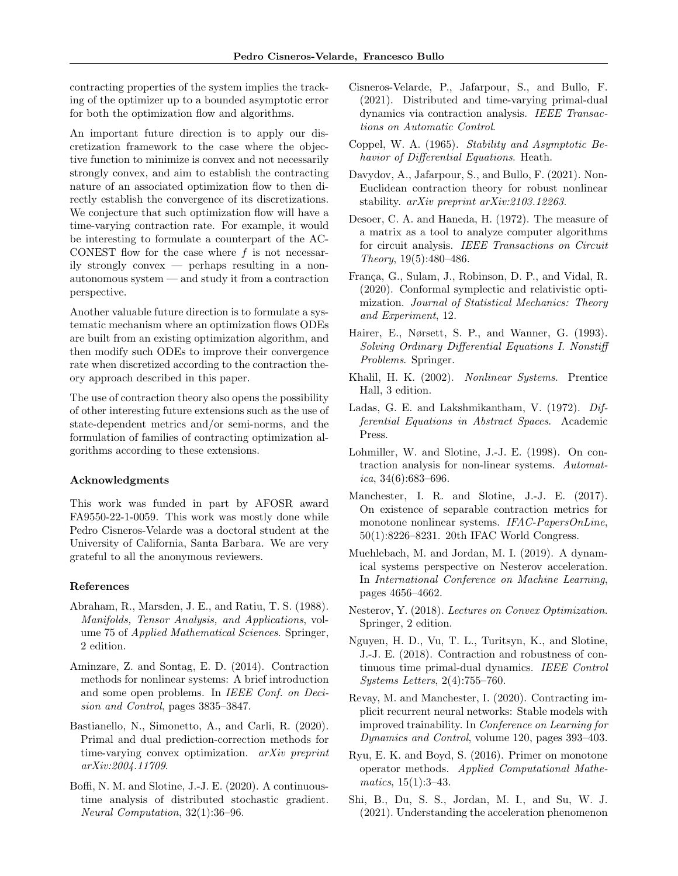contracting properties of the system implies the tracking of the optimizer up to a bounded asymptotic error for both the optimization flow and algorithms.

An important future direction is to apply our discretization framework to the case where the objective function to minimize is convex and not necessarily strongly convex, and aim to establish the contracting nature of an associated optimization flow to then directly establish the convergence of its discretizations. We conjecture that such optimization flow will have a time-varying contraction rate. For example, it would be interesting to formulate a counterpart of the AC-CONEST flow for the case where  $f$  is not necessarily strongly convex — perhaps resulting in a nonautonomous system — and study it from a contraction perspective.

Another valuable future direction is to formulate a systematic mechanism where an optimization flows ODEs are built from an existing optimization algorithm, and then modify such ODEs to improve their convergence rate when discretized according to the contraction theory approach described in this paper.

The use of contraction theory also opens the possibility of other interesting future extensions such as the use of state-dependent metrics and/or semi-norms, and the formulation of families of contracting optimization algorithms according to these extensions.

#### Acknowledgments

This work was funded in part by AFOSR award FA9550-22-1-0059. This work was mostly done while Pedro Cisneros-Velarde was a doctoral student at the University of California, Santa Barbara. We are very grateful to all the anonymous reviewers.

#### References

- Abraham, R., Marsden, J. E., and Ratiu, T. S. (1988). Manifolds, Tensor Analysis, and Applications, volume 75 of Applied Mathematical Sciences. Springer, 2 edition.
- Aminzare, Z. and Sontag, E. D. (2014). Contraction methods for nonlinear systems: A brief introduction and some open problems. In IEEE Conf. on Decision and Control, pages 3835–3847.
- Bastianello, N., Simonetto, A., and Carli, R. (2020). Primal and dual prediction-correction methods for time-varying convex optimization. arXiv preprint arXiv:2004.11709.
- Boffi, N. M. and Slotine, J.-J. E. (2020). A continuoustime analysis of distributed stochastic gradient. Neural Computation, 32(1):36–96.
- Cisneros-Velarde, P., Jafarpour, S., and Bullo, F. (2021). Distributed and time-varying primal-dual dynamics via contraction analysis. IEEE Transactions on Automatic Control.
- Coppel, W. A. (1965). Stability and Asymptotic Behavior of Differential Equations. Heath.
- Davydov, A., Jafarpour, S., and Bullo, F. (2021). Non-Euclidean contraction theory for robust nonlinear stability. arXiv preprint arXiv:2103.12263.
- Desoer, C. A. and Haneda, H. (1972). The measure of a matrix as a tool to analyze computer algorithms for circuit analysis. IEEE Transactions on Circuit Theory, 19(5):480–486.
- França, G., Sulam, J., Robinson, D. P., and Vidal, R. (2020). Conformal symplectic and relativistic optimization. Journal of Statistical Mechanics: Theory and Experiment, 12.
- Hairer, E., Nørsett, S. P., and Wanner, G. (1993). Solving Ordinary Differential Equations I. Nonstiff Problems. Springer.
- Khalil, H. K. (2002). Nonlinear Systems. Prentice Hall, 3 edition.
- Ladas, G. E. and Lakshmikantham, V. (1972). Differential Equations in Abstract Spaces. Academic Press.
- Lohmiller, W. and Slotine, J.-J. E. (1998). On contraction analysis for non-linear systems. Automatica,  $34(6)$ :683–696.
- Manchester, I. R. and Slotine, J.-J. E. (2017). On existence of separable contraction metrics for monotone nonlinear systems. IFAC-PapersOnLine, 50(1):8226–8231. 20th IFAC World Congress.
- Muehlebach, M. and Jordan, M. I. (2019). A dynamical systems perspective on Nesterov acceleration. In International Conference on Machine Learning, pages 4656–4662.
- Nesterov, Y. (2018). Lectures on Convex Optimization. Springer, 2 edition.
- Nguyen, H. D., Vu, T. L., Turitsyn, K., and Slotine, J.-J. E. (2018). Contraction and robustness of continuous time primal-dual dynamics. IEEE Control Systems Letters, 2(4):755–760.
- Revay, M. and Manchester, I. (2020). Contracting implicit recurrent neural networks: Stable models with improved trainability. In Conference on Learning for Dynamics and Control, volume 120, pages 393–403.
- Ryu, E. K. and Boyd, S. (2016). Primer on monotone operator methods. Applied Computational Mathematics, 15(1):3–43.
- Shi, B., Du, S. S., Jordan, M. I., and Su, W. J. (2021). Understanding the acceleration phenomenon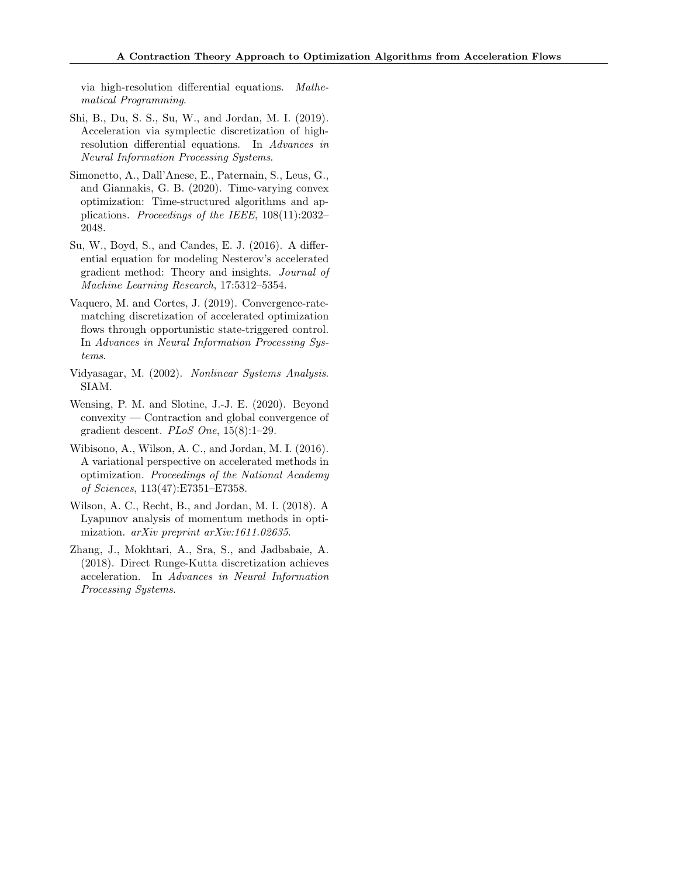via high-resolution differential equations. Mathematical Programming.

- Shi, B., Du, S. S., Su, W., and Jordan, M. I. (2019). Acceleration via symplectic discretization of highresolution differential equations. In Advances in Neural Information Processing Systems.
- Simonetto, A., Dall'Anese, E., Paternain, S., Leus, G., and Giannakis, G. B. (2020). Time-varying convex optimization: Time-structured algorithms and applications. Proceedings of the IEEE, 108(11):2032– 2048.
- Su, W., Boyd, S., and Candes, E. J. (2016). A differential equation for modeling Nesterov's accelerated gradient method: Theory and insights. Journal of Machine Learning Research, 17:5312–5354.
- Vaquero, M. and Cortes, J. (2019). Convergence-ratematching discretization of accelerated optimization flows through opportunistic state-triggered control. In Advances in Neural Information Processing Systems.
- Vidyasagar, M. (2002). Nonlinear Systems Analysis. SIAM.
- Wensing, P. M. and Slotine, J.-J. E. (2020). Beyond convexity — Contraction and global convergence of gradient descent.  $PLoS$  One,  $15(8):1-29$ .
- Wibisono, A., Wilson, A. C., and Jordan, M. I. (2016). A variational perspective on accelerated methods in optimization. Proceedings of the National Academy of Sciences, 113(47):E7351–E7358.
- Wilson, A. C., Recht, B., and Jordan, M. I. (2018). A Lyapunov analysis of momentum methods in optimization. arXiv preprint arXiv:1611.02635.
- Zhang, J., Mokhtari, A., Sra, S., and Jadbabaie, A. (2018). Direct Runge-Kutta discretization achieves acceleration. In Advances in Neural Information Processing Systems.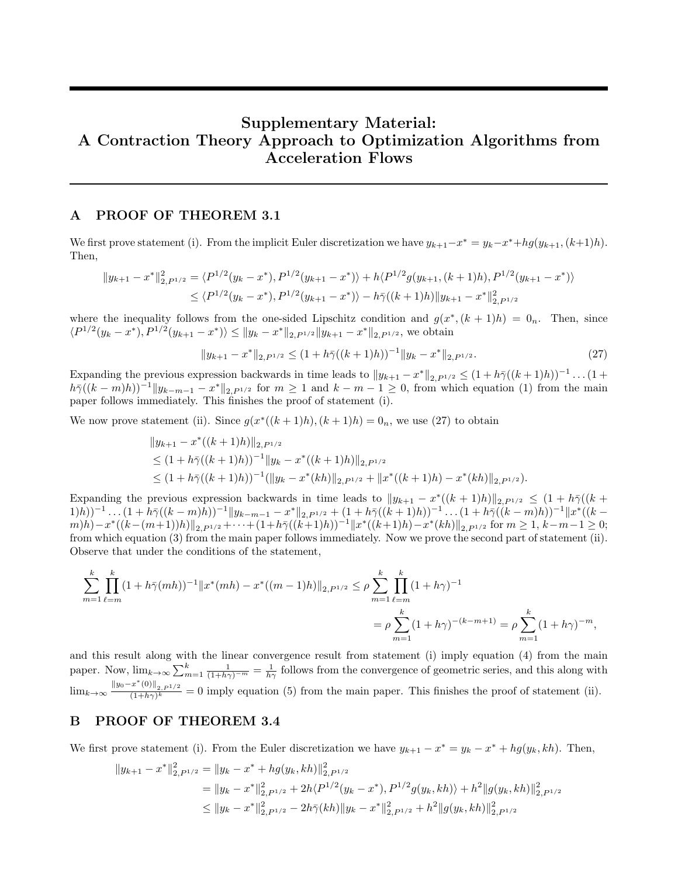# Supplementary Material: A Contraction Theory Approach to Optimization Algorithms from Acceleration Flows

### A PROOF OF THEOREM 3.1

We first prove statement (i). From the implicit Euler discretization we have  $y_{k+1} - x^* = y_k - x^* + hg(y_{k+1}, (k+1)h)$ . Then,

$$
||y_{k+1} - x^*||_{2,P^{1/2}}^2 = \langle P^{1/2}(y_k - x^*), P^{1/2}(y_{k+1} - x^*) \rangle + h \langle P^{1/2} g(y_{k+1}, (k+1)h), P^{1/2}(y_{k+1} - x^*) \rangle
$$
  
 
$$
\leq \langle P^{1/2}(y_k - x^*), P^{1/2}(y_{k+1} - x^*) \rangle - h \bar{\gamma}((k+1)h) ||y_{k+1} - x^*||_{2,P^{1/2}}^2
$$

where the inequality follows from the one-sided Lipschitz condition and  $g(x^*, (k+1)h) = 0_n$ . Then, since  $\langle P^{1/2}(y_k - x^*), P^{1/2}(y_{k+1} - x^*) \rangle \le ||y_k - x^*||_{2, P^{1/2}} ||y_{k+1} - x^*||_{2, P^{1/2}},$  we obtain

$$
||y_{k+1} - x^*||_{2, P^{1/2}} \le (1 + h\bar{\gamma}((k+1)h))^{-1}||y_k - x^*||_{2, P^{1/2}}.
$$
\n(27)

Expanding the previous expression backwards in time leads to  $||y_{k+1} - x^*||_{2, P^{1/2}} \leq (1 + h\bar{\gamma}((k+1)h))^{-1} \dots (1 + h\bar{\gamma}((k+1)h))^{-1}$  $h\bar{\gamma}((k-m)h))^{-1}||y_{k-m-1}-x^*||_{2, P^{1/2}}$  for  $m\geq 1$  and  $k-m-1\geq 0$ , from which equation (1) from the main paper follows immediately. This finishes the proof of statement (i).

We now prove statement (ii). Since  $g(x^*((k+1)h), (k+1)h) = 0_n$ , we use (27) to obtain

$$
||y_{k+1} - x^*((k+1)h)||_{2, P^{1/2}}
$$
  
\n
$$
\leq (1 + h\overline{\gamma}((k+1)h))^{-1}||y_k - x^*((k+1)h)||_{2, P^{1/2}}
$$
  
\n
$$
\leq (1 + h\overline{\gamma}((k+1)h))^{-1}(||y_k - x^*(kh)||_{2, P^{1/2}} + ||x^*((k+1)h) - x^*(kh)||_{2, P^{1/2}}).
$$

Expanding the previous expression backwards in time leads to  $||y_{k+1} - x^*((k+1)h)||_{2, P^{1/2}} \leq (1 + h\bar{\gamma}((k+1)h))$  $(1-h\bar{\gamma}((k-m)h))^{-1}||y_{k-m-1}-x^*||_{2,P^{1/2}}+(1+h\bar{\gamma}((k+1)h))^{-1}\dots(1+h\bar{\gamma}((k-m)h))^{-1}||x^*((k-m)h))^{-1}$  $||(k-(m+1))h||_{2, P^{1/2}} + \cdots + (1+h\bar{\gamma}((k+1)h))^{-1}||x^*((k+1)h) - x^*(kh)||_{2, P^{1/2}}$  for  $m \geq 1, k-m-1 \geq 0;$ from which equation (3) from the main paper follows immediately. Now we prove the second part of statement (ii). Observe that under the conditions of the statement,

$$
\sum_{m=1}^{k} \prod_{\ell=m}^{k} (1 + h\bar{\gamma}(mh))^{-1} \|x^{*}(mh) - x^{*}((m-1)h)\|_{2, P^{1/2}} \leq \rho \sum_{m=1}^{k} \prod_{\ell=m}^{k} (1 + h\gamma)^{-1}
$$
  
= 
$$
\rho \sum_{m=1}^{k} (1 + h\gamma)^{-(k-m+1)} = \rho \sum_{m=1}^{k} (1 + h\gamma)^{-m},
$$

and this result along with the linear convergence result from statement (i) imply equation (4) from the main paper. Now,  $\lim_{k\to\infty}\sum_{m=1}^k\frac{1}{(1+h\gamma)^{-m}}=\frac{1}{h\gamma}$  follows from the convergence of geometric series, and this along with  $\lim_{k\to\infty} \frac{\|y_0-x^*(0)\|_{2,P^1/2}}{(1+h\gamma)^k} = 0$  imply equation (5) from the main paper. This finishes the proof of statement (ii).

### B PROOF OF THEOREM 3.4

We first prove statement (i). From the Euler discretization we have  $y_{k+1} - x^* = y_k - x^* + hg(y_k, kh)$ . Then,

$$
||y_{k+1} - x^*||_{2,P^{1/2}}^2 = ||y_k - x^* + hg(y_k, kh)||_{2,P^{1/2}}^2
$$
  
=  $||y_k - x^*||_{2,P^{1/2}}^2 + 2h\langle P^{1/2}(y_k - x^*) , P^{1/2}g(y_k, kh) \rangle + h^2 ||g(y_k, kh)||_{2,P^{1/2}}^2$   
 $\le ||y_k - x^*||_{2,P^{1/2}}^2 - 2h\bar{\gamma}(kh) ||y_k - x^*||_{2,P^{1/2}}^2 + h^2 ||g(y_k, kh)||_{2,P^{1/2}}^2$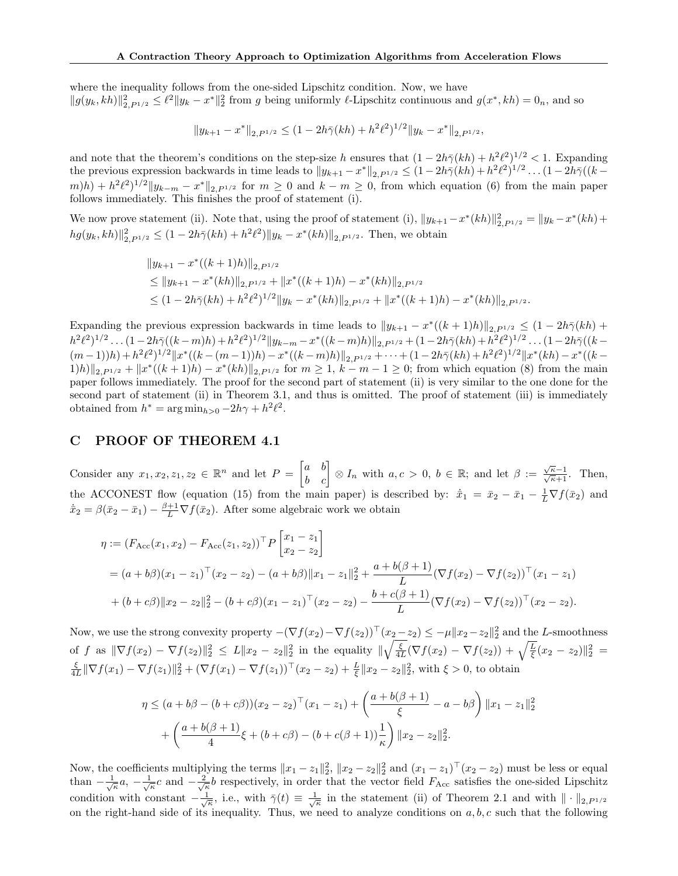where the inequality follows from the one-sided Lipschitz condition. Now, we have  $||g(y_k, kh)||_{2, P^{1/2}}^2 \leq \ell^2 ||y_k - x^*||_2^2$  from g being uniformly  $\ell$ -Lipschitz continuous and  $g(x^*, kh) = 0_n$ , and so

$$
||y_{k+1} - x^*||_{2, P^{1/2}} \le (1 - 2h\bar{\gamma}(kh) + h^2\ell^2)^{1/2} ||y_k - x^*||_{2, P^{1/2}},
$$

and note that the theorem's conditions on the step-size h ensures that  $(1 - 2h\bar{\gamma}(kh) + h^2\ell^2)^{1/2} < 1$ . Expanding the previous expression backwards in time leads to  $||y_{k+1} - x^*||_{2, P^{1/2}} \leq (1 - 2h\bar{\gamma}(kh) + h^2\ell^2)^{1/2} \dots (1 - 2h\bar{\gamma}((k-1)\ell^2))$  $(m)h) + h^2\ell^2$ <sup>1/2</sup>  $||y_{k-m} - x^*||_{2, P^{1/2}}$  for  $m \geq 0$  and  $k-m \geq 0$ , from which equation (6) from the main paper follows immediately. This finishes the proof of statement (i).

We now prove statement (ii). Note that, using the proof of statement (i),  $||y_{k+1} - x^*(kh)||_{2, P^{1/2}}^2 = ||y_k - x^*(kh) +$  $hg(y_k, kh) \|_{2, P^{1/2}}^2 \leq (1 - 2h\bar{\gamma}(kh) + h^2\ell^2) \|y_k - x^*(kh)\|_{2, P^{1/2}}.$  Then, we obtain

$$
||y_{k+1} - x^*((k+1)h)||_{2, P^{1/2}}
$$
  
\n
$$
\leq ||y_{k+1} - x^*(kh)||_{2, P^{1/2}} + ||x^*((k+1)h) - x^*(kh)||_{2, P^{1/2}}
$$
  
\n
$$
\leq (1 - 2h\bar{\gamma}(kh) + h^2\ell^2)^{1/2}||y_k - x^*(kh)||_{2, P^{1/2}} + ||x^*((k+1)h) - x^*(kh)||_{2, P^{1/2}}.
$$

Expanding the previous expression backwards in time leads to  $||y_{k+1} - x^*((k+1)h)||_{2, P^{1/2}} \leq (1 - 2h\bar{\gamma}(kh) +$  $h^2\ell^2)^{1/2}\dots(1-2h\bar\gamma((k-m)h)+h^2\ell^2)^{1/2}\|y_{k-m}-x^*((k-m)h)\|_{2, P^{1/2}}+(1-2h\bar\gamma(kh)+h^2\ell^2)^{1/2}\dots(1-2h\bar\gamma((k-m)h))\|_{2, P^{1/2}})$  $(m-1)h) + h^2\ell^2$ <sup>1/2</sup> $||x^*((k-(m-1))h) - x^*((k-m)h)||_{2,P^{1/2}} + \cdots + (1-2h\bar{\gamma}(kh) + h^2\ell^2)^{1/2}||x^*(kh) - x^*((k-1)h) + h^2\ell^2)^{1/2}$  $(1)$ h) $||_{2,P^{1/2}} + ||x^*((k+1)h) - x^*(kh)||_{2,P^{1/2}}$  for  $m \ge 1$ ,  $k - m - 1 \ge 0$ ; from which equation (8) from the main paper follows immediately. The proof for the second part of statement (ii) is very similar to the one done for the second part of statement (ii) in Theorem 3.1, and thus is omitted. The proof of statement (iii) is immediately obtained from  $h^* = \arg \min_{h>0} -2h\gamma + h^2\ell^2$ .

### C PROOF OF THEOREM 4.1

Consider any  $x_1, x_2, z_1, z_2 \in \mathbb{R}^n$  and let  $P = \begin{bmatrix} a & b \\ b & c \end{bmatrix} \otimes I_n$  with  $a, c > 0, b \in \mathbb{R}$ ; and let  $\beta := \frac{\sqrt{\kappa}-1}{\sqrt{\kappa}+1}$ . Then, the ACCONEST flow (equation (15) from the main paper) is described by:  $\dot{\bar{x}}_1 = \bar{x}_2 - \bar{x}_1 - \frac{1}{L}\nabla f(\bar{x}_2)$  and  $\dot{\bar{x}}_2 = \beta(\bar{x}_2 - \bar{x}_1) - \frac{\beta+1}{L} \nabla f(\bar{x}_2)$ . After some algebraic work we obtain

$$
\eta := (F_{\text{Acc}}(x_1, x_2) - F_{\text{Acc}}(z_1, z_2))^{\top} P \begin{bmatrix} x_1 - z_1 \\ x_2 - z_2 \end{bmatrix}
$$
  
=  $(a + b\beta)(x_1 - z_1)^{\top}(x_2 - z_2) - (a + b\beta) ||x_1 - z_1||_2^2 + \frac{a + b(\beta + 1)}{L} (\nabla f(x_2) - \nabla f(z_2))^{\top} (x_1 - z_1)$   
+  $(b + c\beta) ||x_2 - z_2||_2^2 - (b + c\beta)(x_1 - z_1)^{\top} (x_2 - z_2) - \frac{b + c(\beta + 1)}{L} (\nabla f(x_2) - \nabla f(z_2))^{\top} (x_2 - z_2).$ 

Now, we use the strong convexity property  $-(\nabla f(x_2) - \nabla f(z_2))^T (x_2 - z_2) \le -\mu \|x_2 - z_2\|_2^2$  and the L-smoothness of f as  $\|\nabla f(x_2) - \nabla f(z_2)\|_2^2 \le L \|x_2 - z_2\|_2^2$  in the equality  $\|\sqrt{\frac{\xi}{4L}}(\nabla f(x_2) - \nabla f(z_2)) + \sqrt{\frac{L}{\xi}}(x_2 - z_2)\|_2^2 =$  $\frac{\xi}{4L} \|\nabla f(x_1) - \nabla f(z_1)\|^2_2 + (\nabla f(x_1) - \nabla f(z_1))^{\top} (x_2 - z_2) + \frac{L}{\xi} \|x_2 - z_2\|^2_2$ , with  $\xi > 0$ , to obtain

$$
\eta \le (a+b\beta - (b+c\beta))(x_2 - z_2)^\top (x_1 - z_1) + \left(\frac{a+b(\beta+1)}{\xi} - a - b\beta\right) \|x_1 - z_1\|_2^2
$$

$$
+ \left(\frac{a+b(\beta+1)}{4}\xi + (b+c\beta) - (b+c(\beta+1))\frac{1}{\kappa}\right) \|x_2 - z_2\|_2^2.
$$

Now, the coefficients multiplying the terms  $||x_1 - z_1||_2^2$ ,  $||x_2 - z_2||_2^2$  and  $(x_1 - z_1)^\top (x_2 - z_2)$  must be less or equal than  $-\frac{1}{\sqrt{\kappa}}a$ ,  $-\frac{1}{\sqrt{\kappa}}c$  and  $-\frac{2}{\sqrt{\kappa}}b$  respectively, in order that the vector field  $F_{\text{Acc}}$  satisfies the one-sided Lipschitz condition with constant  $-\frac{1}{\sqrt{\kappa}}$ , i.e., with  $\bar{\gamma}(t) \equiv \frac{1}{\sqrt{\kappa}}$  in the statement (ii) of Theorem 2.1 and with  $\|\cdot\|_{2,P^{1/2}}$ on the right-hand side of its inequality. Thus, we need to analyze conditions on  $a, b, c$  such that the following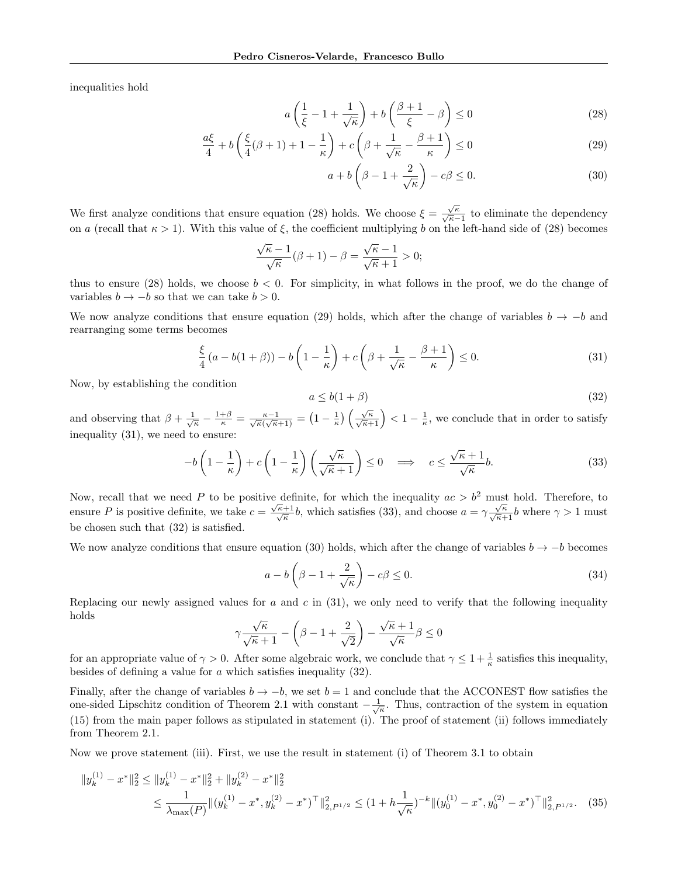inequalities hold

$$
a\left(\frac{1}{\xi} - 1 + \frac{1}{\sqrt{\kappa}}\right) + b\left(\frac{\beta + 1}{\xi} - \beta\right) \le 0\tag{28}
$$

$$
\frac{a\xi}{4} + b\left(\frac{\xi}{4}(\beta + 1) + 1 - \frac{1}{\kappa}\right) + c\left(\beta + \frac{1}{\sqrt{\kappa}} - \frac{\beta + 1}{\kappa}\right) \le 0\tag{29}
$$

$$
a + b\left(\beta - 1 + \frac{2}{\sqrt{\kappa}}\right) - c\beta \le 0. \tag{30}
$$

We first analyze conditions that ensure equation (28) holds. We choose  $\xi = \frac{\sqrt{\kappa}}{\sqrt{\kappa}-1}$  to eliminate the dependency on a (recall that  $\kappa > 1$ ). With this value of  $\xi$ , the coefficient multiplying b on the left-hand side of (28) becomes

$$
\frac{\sqrt{\kappa}-1}{\sqrt{\kappa}}(\beta+1)-\beta=\frac{\sqrt{\kappa}-1}{\sqrt{\kappa}+1}>0;
$$

thus to ensure (28) holds, we choose  $b < 0$ . For simplicity, in what follows in the proof, we do the change of variables  $b \to -b$  so that we can take  $b > 0$ .

We now analyze conditions that ensure equation (29) holds, which after the change of variables  $b \rightarrow -b$  and rearranging some terms becomes

$$
\frac{\xi}{4}(a - b(1+\beta)) - b\left(1 - \frac{1}{\kappa}\right) + c\left(\beta + \frac{1}{\sqrt{\kappa}} - \frac{\beta + 1}{\kappa}\right) \le 0. \tag{31}
$$

Now, by establishing the condition

$$
a \le b(1+\beta) \tag{32}
$$

and observing that  $\beta + \frac{1}{\sqrt{\kappa}} - \frac{1+\beta}{\kappa} = \frac{\kappa-1}{\sqrt{\kappa}(\sqrt{\kappa}+1)} = \left(1 - \frac{1}{\kappa}\right) \left(\frac{\sqrt{\kappa}}{\sqrt{\kappa}+1}\right) < 1 - \frac{1}{\kappa}$ , we conclude that in order to satisfy inequality (31), we need to ensure:

$$
-b\left(1-\frac{1}{\kappa}\right)+c\left(1-\frac{1}{\kappa}\right)\left(\frac{\sqrt{\kappa}}{\sqrt{\kappa}+1}\right)\leq 0 \quad \Longrightarrow \quad c \leq \frac{\sqrt{\kappa}+1}{\sqrt{\kappa}}b. \tag{33}
$$

Now, recall that we need P to be positive definite, for which the inequality  $ac > b^2$  must hold. Therefore, to ensure P is positive definite, we take  $c = \frac{\sqrt{\kappa+1}}{\sqrt{\kappa}}b$ , which satisfies (33), and choose  $a = \gamma \frac{\sqrt{\kappa}}{\sqrt{\kappa+1}}b$  where  $\gamma > 1$  must be chosen such that (32) is satisfied.

We now analyze conditions that ensure equation (30) holds, which after the change of variables  $b \rightarrow -b$  becomes

$$
a - b\left(\beta - 1 + \frac{2}{\sqrt{\kappa}}\right) - c\beta \le 0. \tag{34}
$$

Replacing our newly assigned values for a and c in  $(31)$ , we only need to verify that the following inequality holds √ √

$$
\gamma \frac{\sqrt{\kappa}}{\sqrt{\kappa}+1} - \left(\beta - 1 + \frac{2}{\sqrt{2}}\right) - \frac{\sqrt{\kappa}+1}{\sqrt{\kappa}} \beta \le 0
$$

for an appropriate value of  $\gamma > 0$ . After some algebraic work, we conclude that  $\gamma \leq 1 + \frac{1}{\kappa}$  satisfies this inequality, besides of defining a value for a which satisfies inequality (32).

Finally, after the change of variables  $b \to -b$ , we set  $b = 1$  and conclude that the ACCONEST flow satisfies the one-sided Lipschitz condition of Theorem 2.1 with constant  $-\frac{1}{\sqrt{\kappa}}$ . Thus, contraction of the system in equation (15) from the main paper follows as stipulated in statement (i). The proof of statement (ii) follows immediately from Theorem 2.1.

Now we prove statement (iii). First, we use the result in statement (i) of Theorem 3.1 to obtain

$$
||y_k^{(1)} - x^*||_2^2 \le ||y_k^{(1)} - x^*||_2^2 + ||y_k^{(2)} - x^*||_2^2
$$
  
\n
$$
\le \frac{1}{\lambda_{\max}(P)} ||(y_k^{(1)} - x^*, y_k^{(2)} - x^*)^\top||_{2, P^{1/2}}^2 \le (1 + h\frac{1}{\sqrt{\kappa}})^{-k} ||(y_0^{(1)} - x^*, y_0^{(2)} - x^*)^\top||_{2, P^{1/2}}^2.
$$
 (35)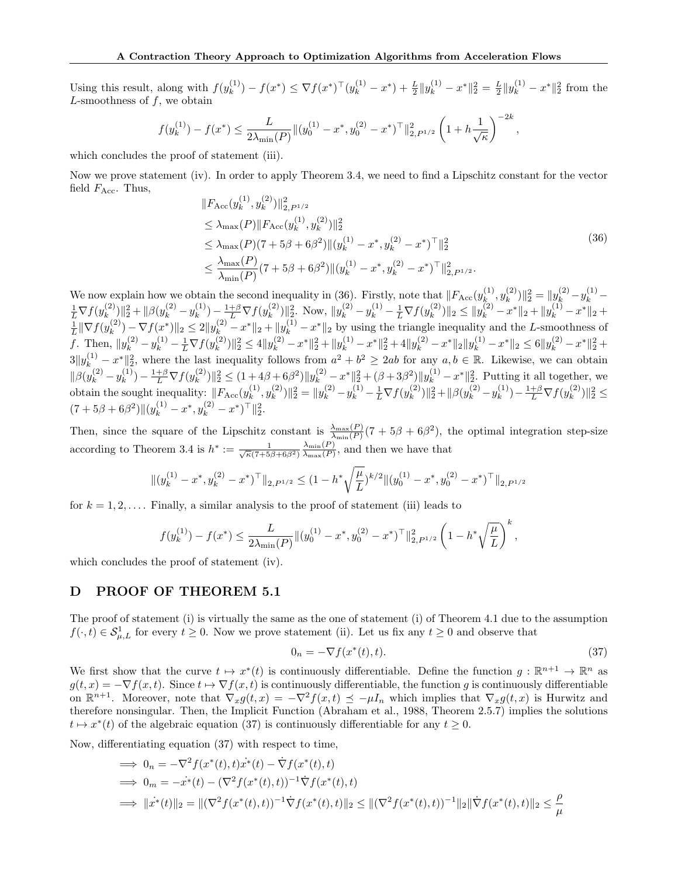Using this result, along with  $f(y_k^{(1)})$  $\mathcal{L}_{k}^{(1)}$ ) –  $f(x^*) \leq \nabla f(x^*)^\top (y_k^{(1)} - x^*) + \frac{L}{2} ||y_k^{(1)} - x^*||_2^2 = \frac{L}{2} ||y_k^{(1)} - x^*||_2^2$  from the  $L$ -smoothness of  $f$ , we obtain

$$
f(y_k^{(1)}) - f(x^*) \le \frac{L}{2\lambda_{\min}(P)} \|(y_0^{(1)} - x^*, y_0^{(2)} - x^*)^\top\|_{2, P^{1/2}}^2 \left(1 + h\frac{1}{\sqrt{\kappa}}\right)^{-2k},
$$

which concludes the proof of statement (iii).

Now we prove statement (iv). In order to apply Theorem 3.4, we need to find a Lipschitz constant for the vector field  $F_{\text{Acc}}$ . Thus,

$$
||F_{\text{Acc}}(y_k^{(1)}, y_k^{(2)})||_{2, P^{1/2}}^2
$$
  
\n
$$
\leq \lambda_{\text{max}}(P) ||F_{\text{Acc}}(y_k^{(1)}, y_k^{(2)})||_2^2
$$
  
\n
$$
\leq \lambda_{\text{max}}(P)(7 + 5\beta + 6\beta^2) ||(y_k^{(1)} - x^*, y_k^{(2)} - x^*)^\top||_2^2
$$
  
\n
$$
\leq \frac{\lambda_{\text{max}}(P)}{\lambda_{\text{min}}(P)} (7 + 5\beta + 6\beta^2) ||(y_k^{(1)} - x^*, y_k^{(2)} - x^*)^\top||_{2, P^{1/2}}^2.
$$
\n(36)

We now explain how we obtain the second inequality in (36). Firstly, note that  $\|F_{\text{Acc}}(y_k^{(1)})\|$  $\binom{(1)}{k},y_k^{(2)}$ We now explain how we obtain the second inequality in (36). Firstly, note that  $||F_{Acc}(y_k^{(1)}, y_k^{(2)})||_2^2 = ||y_k^{(2)} - y_k^{(1)} - \frac{1}{L}\nabla f(y_k^{(2)})||_2^2 + ||\beta(y_k^{(2)} - y_k^{(1)}) - \frac{1+\beta}{L}\nabla f(y_k^{(2)})||_2^2$ . Now,  $||y_k^{(2)} - y_k^{(1)} - \frac{1}{L}\nabla f(y_k^{($  $\|k^{(2)}\|_2^2 + \|\beta(y_k^{(2)} - y_k^{(1)})\|_2^2$  $h_k^{(1)}$ ) –  $\frac{1+\beta}{L} \nabla f(y_k^{(2)})$  $\|y_k^{(2)}\|_2^2$ . Now,  $\|y_k^{(2)} - y_k^{(1)} - \frac{1}{L}\nabla f(y_k^{(2)})\|_2^2$  $\|x_k^{(2)})\|_2 \le \|y_k^{(2)} - x^*\|_2 + \|y_k^{(1)} - x^*\|_2 +$  $\frac{1}{L}$ || $\nabla f(y_k^{(2)}$  $\|k^{(2)}(k) - \nabla f(x^*)\|_2 \leq 2\|y_k^{(2)} - x^*\|_2 + \|y_k^{(1)} - x^*\|_2$  by using the triangle inequality and the L-smoothness of f. Then,  $||y_k^{(2)} - y_k^{(1)} - \frac{1}{L} \nabla f(y_k^{(2)})||$  $\label{eq:21} \begin{split} &\binom{(2)}{k}||_{2}^{2} \leq 4\|y_{k}^{(2)}-x^{*}\|_{2}^{2}+\|y_{k}^{(1)}-x^{*}\|_{2}^{2}+4\|y_{k}^{(2)}-x^{*}\|_{2}\|y_{k}^{(1)}-x^{*}\|_{2} \leq 6\|y_{k}^{(2)}-x^{*}\|_{2}^{2}+\\ \end{split}$  $3||y_k^{(1)} - x^*||_2^2$ , where the last inequality follows from  $a^2 + b^2 \ge 2ab$  for any  $a, b \in \mathbb{R}$ . Likewise, we can obtain  $\|\beta(y_k^{(2)} - y_k^{(1)}\)$  ${k \choose k} - \frac{1+\beta}{L} \nabla f(y_k^{(2)})$  $\|k^{(2)}\|_2^2 \leq (1+4\beta+6\beta^2)\|y_k^{(2)}-x^*\|_2^2+(\beta+3\beta^2)\|y_k^{(1)}-x^*\|_2^2$ . Putting it all together, we obtain the sought inequality:  $|| F_{\text{Acc}}(y_k^{(1)})||$  $y_k^{(1)}, y_k^{(2)}$  $\|k^{(2)}_{k}\rangle\|_{2}^{2} = \|y_{k}^{(2)} - y_{k}^{(1)} - \frac{1}{L}\nabla f(y_{k}^{(2)})\|_{2}^{2}$  $\|k^{(2)}_k\|_2^2 + \|\beta(y_k^{(2)} - y_k^{(1)})\|_2^2$  ${k \choose k} - \frac{1+\beta}{L} \nabla f(y_k^{(2)})$  $\binom{2}{k}$  $\|_2^2 \leq$  $(7+5\beta+6\beta^2)\|(y_k^{(1)}-x^*,y_k^{(2)}-x^*)^{\top}\|_2^2.$ 

Then, since the square of the Lipschitz constant is  $\frac{\lambda_{\max}(P)}{\lambda_{\min}(P)}(7+5\beta+6\beta^2)$ , the optimal integration step-size according to Theorem 3.4 is  $h^* := \frac{1}{\sqrt{\kappa}(7+5\beta+6\beta^2)}$  $\lambda_{\min}(P)$  $\frac{\lambda_{\min}(P)}{\lambda_{\max}(P)}$ , and then we have that

$$
\|(y_k^{(1)}-x^*,y_k^{(2)}-x^*)^\top\|_{2,P^{1/2}} \leq (1-h^*\sqrt{\frac{\mu}{L}})^{k/2} \|(y_0^{(1)}-x^*,y_0^{(2)}-x^*)^\top\|_{2,P^{1/2}}
$$

for  $k = 1, 2, \ldots$ . Finally, a similar analysis to the proof of statement (iii) leads to

$$
f(y_k^{(1)}) - f(x^*) \le \frac{L}{2\lambda_{\min}(P)} \|(y_0^{(1)} - x^*, y_0^{(2)} - x^*)^\top\|_{2, P^{1/2}}^2 \left(1 - h^* \sqrt{\frac{\mu}{L}}\right)^k,
$$

which concludes the proof of statement (iv).

### D PROOF OF THEOREM 5.1

The proof of statement (i) is virtually the same as the one of statement (i) of Theorem 4.1 due to the assumption  $f(\cdot, t) \in \mathcal{S}_{\mu,L}^1$  for every  $t \geq 0$ . Now we prove statement (ii). Let us fix any  $t \geq 0$  and observe that

$$
0_n = -\nabla f(x^*(t), t). \tag{37}
$$

We first show that the curve  $t \mapsto x^*(t)$  is continuously differentiable. Define the function  $g: \mathbb{R}^{n+1} \to \mathbb{R}^n$  as  $g(t, x) = -\nabla f(x, t)$ . Since  $t \mapsto \nabla f(x, t)$  is continuously differentiable, the function g is continuously differentiable on  $\mathbb{R}^{n+1}$ . Moreover, note that  $\nabla_x g(t,x) = -\nabla^2 f(x,t) \preceq -\mu I_n$  which implies that  $\nabla_x g(t,x)$  is Hurwitz and therefore nonsingular. Then, the Implicit Function (Abraham et al., 1988, Theorem 2.5.7) implies the solutions  $t \mapsto x^*(t)$  of the algebraic equation (37) is continuously differentiable for any  $t \geq 0$ .

Now, differentiating equation (37) with respect to time,

$$
\Rightarrow 0_n = -\nabla^2 f(x^*(t), t)x^*(t) - \nabla f(x^*(t), t)
$$
  
\n
$$
\Rightarrow 0_m = -x^*(t) - (\nabla^2 f(x^*(t), t))^{-1} \nabla f(x^*(t), t)
$$
  
\n
$$
\Rightarrow \|x^*(t)\|_2 = \|(\nabla^2 f(x^*(t), t))^{-1} \nabla f(x^*(t), t)\|_2 \le \|(\nabla^2 f(x^*(t), t))^{-1}\|_2 \|\nabla f(x^*(t), t)\|_2 \le \frac{\rho}{\mu}
$$